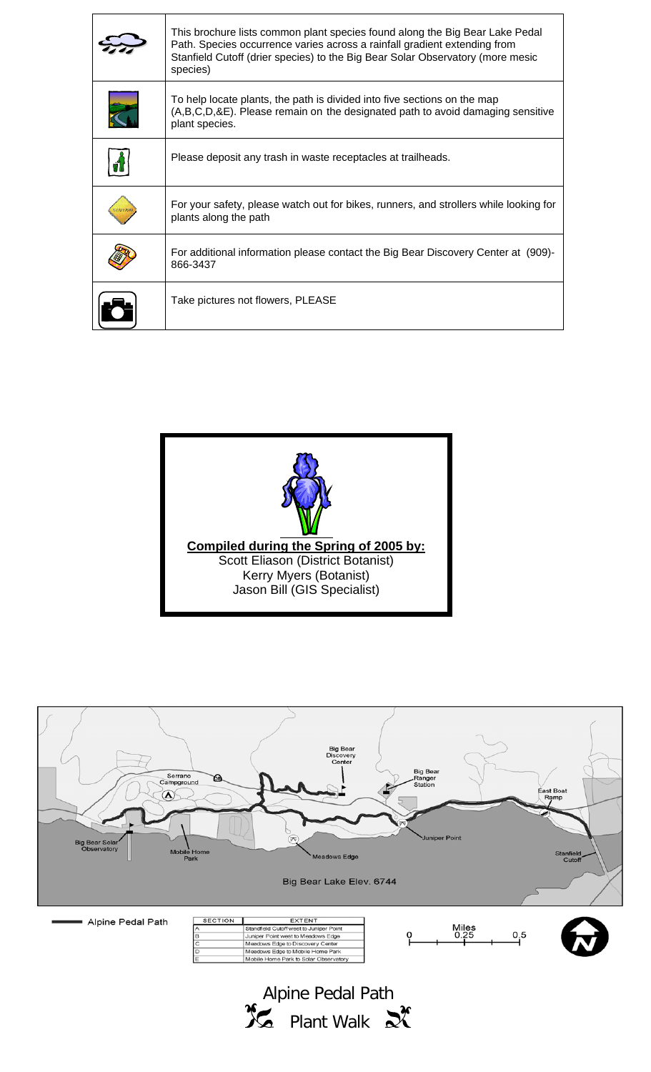| This brochure lists common plant species found along the Big Bear Lake Pedal<br>Path. Species occurrence varies across a rainfall gradient extending from<br>Stanfield Cutoff (drier species) to the Big Bear Solar Observatory (more mesic<br>species) |
|---------------------------------------------------------------------------------------------------------------------------------------------------------------------------------------------------------------------------------------------------------|
| To help locate plants, the path is divided into five sections on the map<br>(A,B,C,D,&E). Please remain on the designated path to avoid damaging sensitive<br>plant species.                                                                            |
| Please deposit any trash in waste receptacles at trailheads.                                                                                                                                                                                            |
| For your safety, please watch out for bikes, runners, and strollers while looking for<br>plants along the path                                                                                                                                          |
| For additional information please contact the Big Bear Discovery Center at (909)-<br>866-3437                                                                                                                                                           |
| Take pictures not flowers, PLEASE                                                                                                                                                                                                                       |